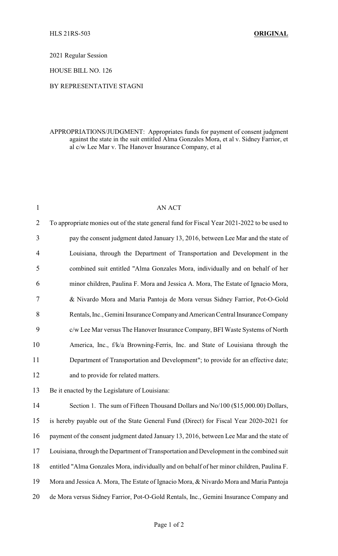2021 Regular Session

HOUSE BILL NO. 126

## BY REPRESENTATIVE STAGNI

## APPROPRIATIONS/JUDGMENT: Appropriates funds for payment of consent judgment against the state in the suit entitled Alma Gonzales Mora, et al v. Sidney Farrior, et al c/w Lee Mar v. The Hanover Insurance Company, et al

| $\mathbf{1}$   | <b>AN ACT</b>                                                                               |
|----------------|---------------------------------------------------------------------------------------------|
| $\overline{2}$ | To appropriate monies out of the state general fund for Fiscal Year 2021-2022 to be used to |
| 3              | pay the consent judgment dated January 13, 2016, between Lee Mar and the state of           |
| $\overline{4}$ | Louisiana, through the Department of Transportation and Development in the                  |
| 5              | combined suit entitled "Alma Gonzales Mora, individually and on behalf of her               |
| 6              | minor children, Paulina F. Mora and Jessica A. Mora, The Estate of Ignacio Mora,            |
| 7              | & Nivardo Mora and Maria Pantoja de Mora versus Sidney Farrior, Pot-O-Gold                  |
| 8              | Rentals, Inc., Gemini Insurance Company and American Central Insurance Company              |
| 9              | c/w Lee Mar versus The Hanover Insurance Company, BFI Waste Systems of North                |
| 10             | America, Inc., f/k/a Browning-Ferris, Inc. and State of Louisiana through the               |
| 11             | Department of Transportation and Development"; to provide for an effective date;            |
| 12             | and to provide for related matters.                                                         |
| 13             | Be it enacted by the Legislature of Louisiana:                                              |
| 14             | Section 1. The sum of Fifteen Thousand Dollars and No/100 (\$15,000.00) Dollars,            |
| 15             | is hereby payable out of the State General Fund (Direct) for Fiscal Year 2020-2021 for      |
| 16             | payment of the consent judgment dated January 13, 2016, between Lee Mar and the state of    |
| 17             | Louisiana, through the Department of Transportation and Development in the combined suit    |
| 18             | entitled "Alma Gonzales Mora, individually and on behalf of her minor children, Paulina F.  |
| 19             | Mora and Jessica A. Mora, The Estate of Ignacio Mora, & Nivardo Mora and Maria Pantoja      |
| 20             | de Mora versus Sidney Farrior, Pot-O-Gold Rentals, Inc., Gemini Insurance Company and       |
|                |                                                                                             |